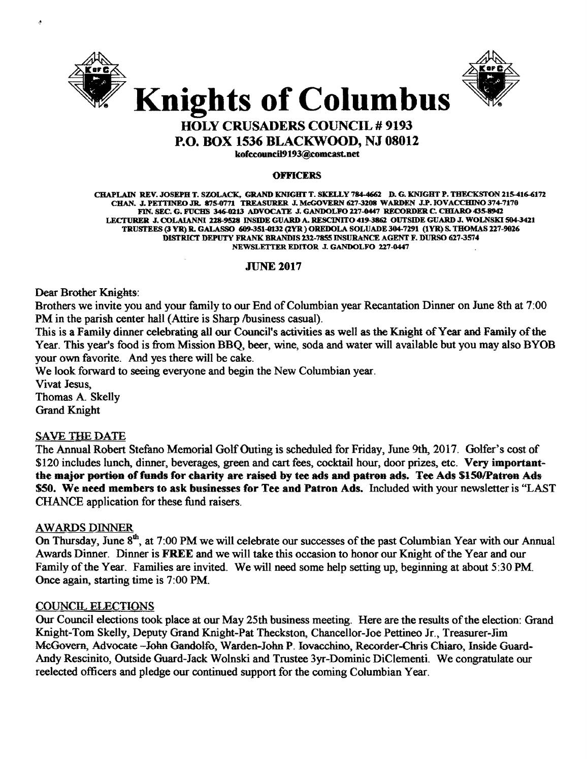



## HOLY CRUSADERS COUNCIL # 9193

P.O. BOX 1536 BLACKWOOD, NJ 08012

kofccouncil9193@eomcast.net

#### **OFFICERS**

CHAPLAIN REV. JOSEPH T. SZOLACK. GRAND KNIGHT T. SKELLY 784-4662 D. G. KNIGHT P. TBECKSTON 215416-6172 CHAN. J. PETTINEO.IR. 875-0771 TREASURER J.McGOVERN 627-3208 WARDEN J.P.IOVACCBIN0374-7170 FIN. SEC. G. FUCHS 346-0213 ADVOCATE J. GANDOLFO 227-0447 RECORDER C. CHIARO 435-8942 LECI'URER J. COLAIANNI 228-9528 INSIDE GUARD A. RESCINITO 419-3861 OUTSIDE GUARD J. WOLN8Kl504-3421 TRUSTEES (3 YR) R. GALASSO 609-351-0132 (2YR) OREDOLA SOLUADE 304-7291 (1YR) S. THOMAS 227-9026 DISTRICT DEPUTY FRANK BRANDIS 131-7855 INSURANCE AGENT F. DURSO 627-3574 NEWSLETTER EDITOR J. GANDOLFO 227-0447

## JUNE 2017

Dear Brother Knights:

Brothers we invite you and your family to our End of Columbian year Recantation Dinner on June 8th at 7:00 PM in the parish center hall (Attire is Sharp /business casual).

This is a Family dinner celebrating all our Council's activities as well as the Knight of Year and Family of the Year. This year's food is from Mission BBQ, beer, wine, soda and water will available but you may also BYOB your own favorite. And yes there will be cake.

We look forward to seeing everyone and begin the New Columbian year.

Vivat Jesus, Thomas A. Skelly Grand Knight

## SAVB THE DATE

The Annual Robert Stefano Memorial Golf Outing is scheduled for Friday, June 9th, 2017. Golfer's cost of \$120 includes lunch, dinner, beverages, green and cart fees, cocktail hour, door prizes, etc. Very importantthe major portion of funds for charity are raised by tee ads and patron ads. Tee Ads \$150/Patron Ads 550. We need members to ask businesses for Tee and Patron Ads. Included with your newsletter is "LAST CHANCE application for these fund raisers.

## **AWARDS DINNER**

On Thursday, June 8<sup>th</sup>, at 7:00 PM we will celebrate our successes of the past Columbian Year with our Annual Awards Dinner. Dinner is FREE and we will take this occasion to honor our Knight of the Year and our Family of the Year. Families are invited. We will need some help setting up, beginning at about 5:30 PM. Once again, starting time is 7:00 PM.

## COUNCIL ELECTIONS

Our Council elections took place at our May 25th business meeting. Here are the results of the election: Grand Knight-Tom Skelly, Deputy Grand Knight-Pat Theckston, Chancellor-Joe Pettineo Jr., Treasurer-lim McGovern, Advocate -John Gandolfo, Warden-John P. Iovacchino, Recorder-Chris Chiaro, Inside Guard-Andy Rescinito, Outside Guard-Jack Wolnski and Trustee 3yr-Dominic DiClementi. We congratulate our reelected officers and pledge our continued support for the coming Columbian Year.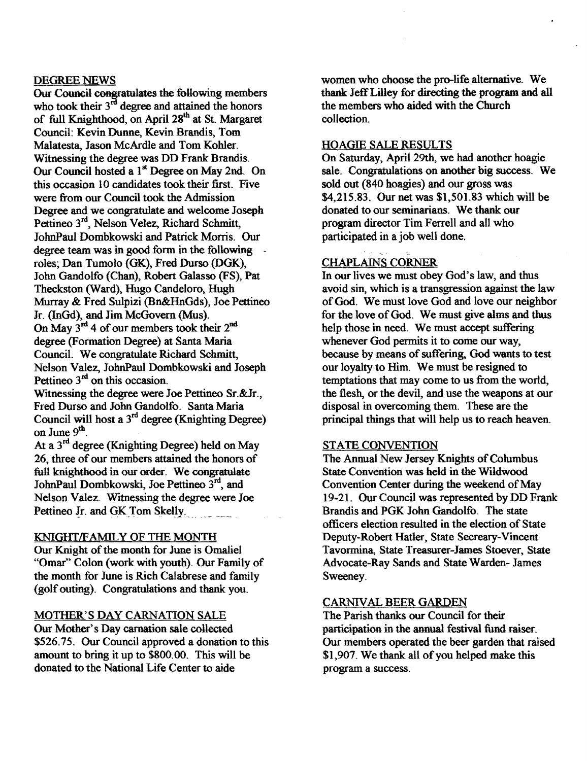## DEGREE NEWS

Our Council congratulates the following members who took their  $3<sup>rd</sup>$  degree and attained the honors of full Knighthood, on April 28<sup>th</sup> at St. Margaret Council: Kevin Dunne, Kevin Brandis, Tom Malatesta, Jason McArdle and Tom Kohler. Witnessing the degree was DD Frank Brandis. Our Council hosted a 1<sup>st</sup> Degree on May 2nd. On this occasion 10 candidates took their first. Five were from our Council took the Admission Degree and we congratulate and welcome Joseph Pettineo 3<sup>rd</sup>, Nelson Velez, Richard Schmitt, JohnPaul Dombkowski and Patrick Morris. Our degree team was in good form in the following roles; Dan Tumolo (GK), Fred Durso (DGK), John Gandolfo (Chan), Robert Galasso (FS), Pat Theckston (Ward), Hugo Candeloro, Hugh Murray & Fred Sulpizi (Bn&HnGds), Joe Pettineo Jr. (InGd), and Jim McGovern (Mus). On May 3rd 4 of our members took their 2<sup>nd</sup> degree (Formation Degree) at Santa Maria Council. We congratulate Richard Schmitt, Nelson Valez, JohnPaul Dombkowski and Joseph Pettineo  $3<sup>rd</sup>$  on this occasion.

Witnessing the degree were Joe Pettineo Sr.&Jr., Fred Durso and John Gandolfo. Santa Maria Council will host a  $3<sup>rd</sup>$  degree (Knighting Degree) on June 9<sup>th</sup>.

At a 3rd degree (Knighting Degree) held on May 26, three of our members attained the honors of full knighthood in our order. We congratulate JohnPaul Dombkowski, Joe Pettineo 3<sup>rd</sup>, and Nelson Valez. Witnessing the degree were Joe Pettineo Jr. and GK Tom Skelly.

## KNIGHT/FAMILY OF THE MONTH

Our Knight of the month for June is Omaliel "Omar" Colon (work with youth). Our Family of the month for June is Rich Calabrese and family (golf outing). Congratulations and thank you.

## MOTHER'S DAY CARNATION SALE

Our Mother's Day carnation sale collected \$526.75. Our Council approved a donation to this amount to bring it up to \$800.00. This will be donated to the National Life Center to aide

women who choose the pro-life alternative. We thank JeffLilley for directing the program and all the members who aided with the Church collection.

### HOAGIE SALE RESULTS

On Saturday, April 29th, we had another hoagie sale. Congratulations on another big success. We sold out (840 hoagies) and our gross was \$4,215.83. Our net was \$1,501.83 which will be donated to our seminarians. We thank our program director Tim Ferrell and all who participated in a job well done.

## < CHAPLAINS CORNER

In our lives we must obey God's law, and thus avoid sin, which is a transgression against the law of God. We must love God and love our neighbor for the love of God. We must give alms and thus help those in need. We must accept suffering whenever God permits it to come our way, because by means of suffering, God wants to test our loyalty to Him. We must be resigned to temptations that may come to us from the world, the flesh, or the devil, and use the weapons at our disposal in overcoming them. These are the principal things that will help us to reach heaven.

## STATE CONVENTION

The Annual New Jersey Knights of Columbus State Convention was held in the Wildwood Convention Center during the weekend of May 19-21. Our Council was represented by DD Frank Brandis and PGK John Gandolfo. The state officers election resulted in the election of State Deputy-Robert Hatler, State Secreary-Vincent Tavormina, State Treasurer-James Stoever, State Advocate-Ray Sands and State Warden- James Sweeney.

## CARNIVAL BEER GARDEN

The Parish thanks our Council for their participation in the annual festival fund raiser. Our members operated the beer garden that raised \$1,907. We thank all of you helped make this program a success.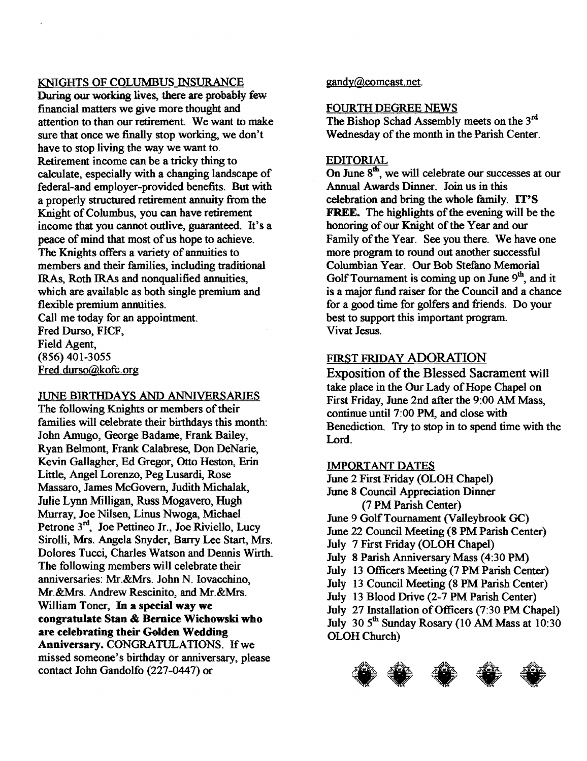## KNIGHTS OF COLUMBUS INSURANCE

During our working lives, there are probably few financial matters we give more thought and attention to than our retirement. We want to make sure that once we finally stop working, we don't have to stop living the way we want to. Retirement income can be a tricky thing to calculate, especially with a changing landscape of federal-and employer-provided benefits. But with a properly structured retirement annuity from the Knight of Columbus, you can have retirement income that you cannot outlive, guaranteed. It's a peace of mind that most of us hope to achieve. The Knights offers a variety of annuities to members and their families, including traditional IRAs, Roth IRAs and nonqualified annuities, which are available as both single premium and flexible premium annuities.

Call me today for an appointment. Fred Durso, FICF, Field Agent, (856) 401-3055 Fred.durso@kofc.org

## JUNE BIRTHDAYS AND ANNIVERSARIES

The following Knights or members of their families will celebrate their birthdays this month: John Amugo, George Badame, Frank Bailey, Ryan Belmont, Frank Calabrese, Don DeNarie, Kevin Gallagher, Ed Gregor, Otto Heston, Erin Little, Angel Lorenzo, Peg Lusardi, Rose Massaro, James McGovern, Judith Michalak, Julie Lynn Milligan, Russ Mogavero, Hugh Murray, Joe Nilsen, Linus Nwoga, Michael Petrone 3<sup>rd</sup>, Joe Pettineo Jr., Joe Riviello, Lucy Sirolli, Mrs. Angela Snyder, Barry Lee Start, Mrs. Dolores Tucci, Charles Watson and Dennis Wirth. The following members will celebrate their anniversaries: Mr.&Mrs. John N. Iovacchino, Mr.&Mrs. Andrew Rescinito, and Mr.&Mrs. William Toner, In a special way we congratulate Stan & Bernice Wichowski who are celebrating their Golden Wedding Anniversary. CONGRATULATIONS. Ifwe missed someone's birthday or anniversary, please contact John Gandolfo (227-0447) or

gandy@comcast.net.

## FOURTH DEGREE NEWS

The Bishop Schad Assembly meets on the  $3<sup>rd</sup>$ Wednesday of the month in the Parish Center.

## EDITORIAL

On June 8<sup>th</sup>, we will celebrate our successes at our Annual Awards Dinner. Join us in this celebration and bring the whole family. IT'S FREE. The highlights of the evening will be the honoring of our Knight of the Year and our Family of the Year. See you there. We have one more program to round out another successful Columbian Year. Our Bob Stefano Memorial Golf Tournament is coming up on June  $9<sup>th</sup>$ , and it is a major fund raiser for the Council and a chance for a good time for golfers and friends. Do your best to support this important program. Vivat Jesus.

## FIRST FRIDAY ADORATION

Exposition of the Blessed Sacrament will take place in the Our Lady of Hope Chapel on First Friday, June 2nd after the 9:00 AM Mass, continue until 7:00 PM, and close with Benediction. Try to stop in to spend time with the Lord.

## IMPORTANT DATES

June 2 First Friday (OLOH Chapel) June 8 Council Appreciation Dinner (7 PM Parish Center) June 9 GolfTournament (Valleybrook GC) June 22 Council Meeting (8 PM Parish Center) July 7 First Friday (OLOH Chapel) July 8 Parish Anniversary Mass (4:30 PM) July 13 Officers Meeting (7 PM Parish Center) July 13 Council Meeting (8 PM Parish Center) July 13 Blood Drive (2-7 PM Parish Center) July 27 Installation of Officers (7:30 PM Chapel) July 30 5<sup>th</sup> Sunday Rosary (10 AM Mass at 10:30 OLOH Church)